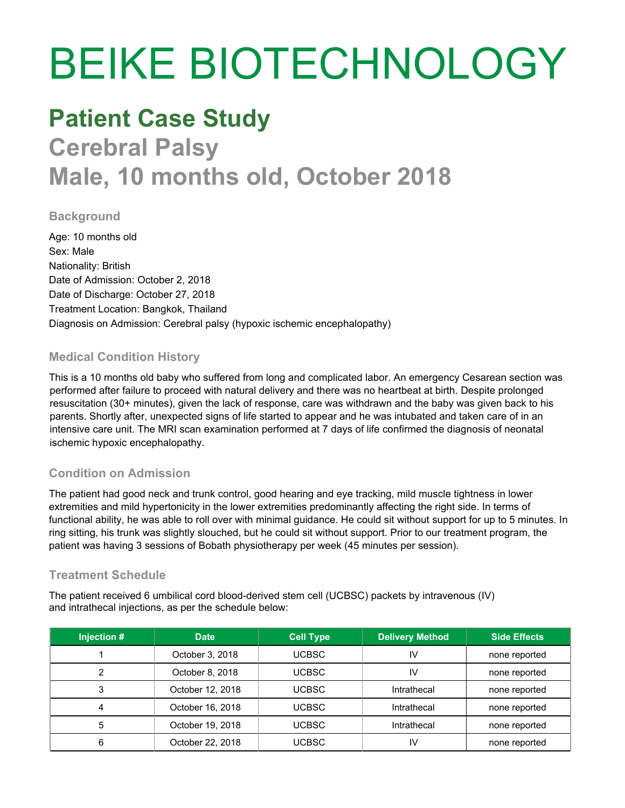# BEIKE BIOTECHNOLOGY

## **Patient Case Study Cerebral Palsy**

## **Male, 10 months old, October 2018**

#### **Background**

Age: 10 months old Sex: Male Nationality: British Date of Admission: October 2, 2018 Date of Discharge: October 27, 2018 Treatment Location: Bangkok, Thailand Diagnosis on Admission: Cerebral palsy (hypoxic ischemic encephalopathy)

#### **Medical Condition History**

This is a 10 months old baby who suffered from long and complicated labor. An emergency Cesarean section was performed after failure to proceed with natural delivery and there was no heartbeat at birth. Despite prolonged resuscitation (30+ minutes), given the lack of response, care was withdrawn and the baby was given back to his parents. Shortly after, unexpected signs of life started to appear and he was intubated and taken care of in an intensive care unit. The MRI scan examination performed at 7 days of life confirmed the diagnosis of neonatal ischemic hypoxic encephalopathy.

#### **Condition on Admission**

The patient had good neck and trunk control, good hearing and eye tracking, mild muscle tightness in lower extremities and mild hypertonicity in the lower extremities predominantly affecting the right side. In terms of functional ability, he was able to roll over with minimal guidance. He could sit without support for up to 5 minutes. In ring sitting, his trunk was slightly slouched, but he could sit without support. Prior to our treatment program, the patient was having 3 sessions of Bobath physiotherapy per week (45 minutes per session).

#### **Treatment Schedule**

The patient received 6 umbilical cord blood-derived stem cell (UCBSC) packets by intravenous (IV) and intrathecal injections, as per the schedule below:

| Injection # | Date             | <b>Cell Type</b> | <b>Delivery Method</b> | <b>Side Effects</b> |
|-------------|------------------|------------------|------------------------|---------------------|
|             | October 3, 2018  | UCBSC-           | ı٧                     | none reported       |
|             | October 8, 2018  | <b>UCBSC</b>     | ΙV                     | none reported       |
|             | October 12, 2018 | UCBSC.           | Intrathecal            | none reported       |
|             | October 16, 2018 | UCBSC-           | Intrathecal            | none reported       |
| 5           | October 19, 2018 | <b>UCBSC</b>     | Intrathecal            | none reported       |
| 6           | October 22, 2018 | UCBSC.           | I٧                     | none reported       |